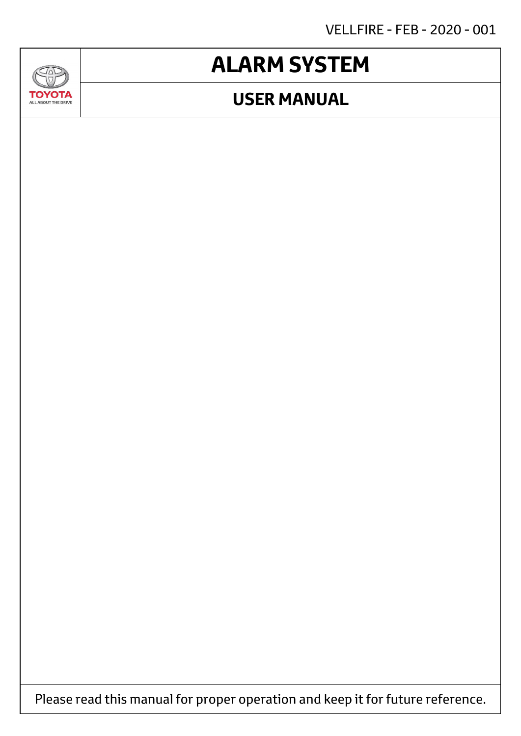VELLFIRE - FEB - 2020 - 001

# **ALARM SYSTEM**

## **USER MANUAL**



JAD

**TOYOTA** ALL ABOUT THE DRIVE

Please read this manual for proper operation and keep it for future reference.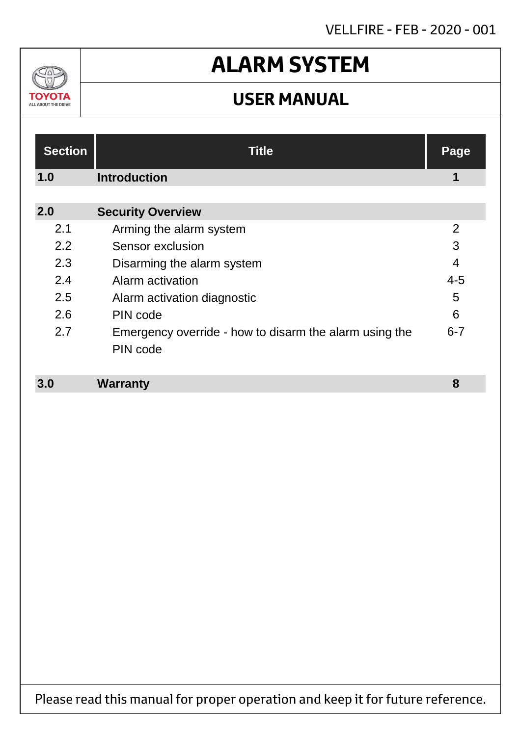## VELLFIRE - FEB - 2020 - 001

## $\Delta v$ ΤΟΥΟΤΑ ALL ABOUT THE DRIVE

# **ALARM SYSTEM**

## **USER MANUAL**

| <b>Section</b> | <b>Title</b>                                                       | Page           |
|----------------|--------------------------------------------------------------------|----------------|
| 1.0            | <b>Introduction</b>                                                | 1              |
| 2.0            | <b>Security Overview</b>                                           |                |
| 2.1            | Arming the alarm system                                            | $\overline{2}$ |
| 2.2            | Sensor exclusion                                                   | 3              |
| 2.3            | Disarming the alarm system                                         | $\overline{4}$ |
| 2.4            | Alarm activation                                                   | $4 - 5$        |
| 2.5            | Alarm activation diagnostic                                        | 5              |
| 2.6            | PIN code                                                           | 6              |
| 2.7            | Emergency override - how to disarm the alarm using the<br>PIN code | $6 - 7$        |
|                |                                                                    |                |

#### **Warranty 3.0 8**

Please read this manual for proper operation and keep it for future reference.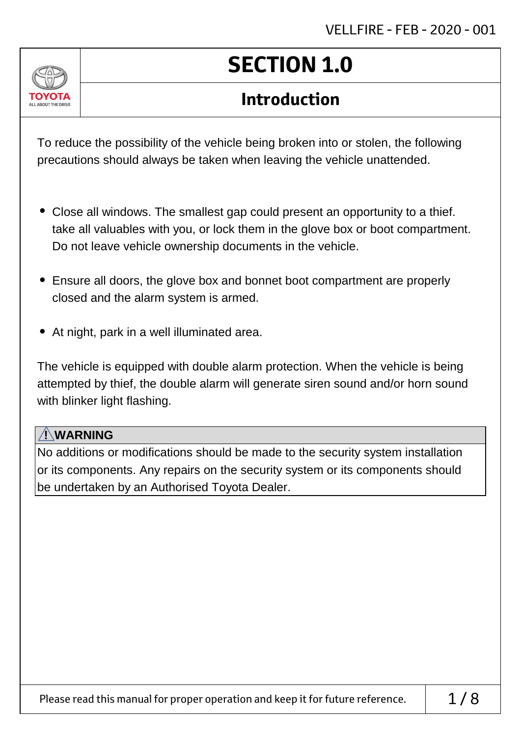

# **SECTION 1.0**

## **Introduction**

To reduce the possibility of the vehicle being broken into or stolen, the following precautions should always be taken when leaving the vehicle unattended.

- Close all windows. The smallest gap could present an opportunity to a thief. take all valuables with you, or lock them in the glove box or boot compartment. Do not leave vehicle ownership documents in the vehicle.
- Ensure all doors, the glove box and bonnet boot compartment are properly closed and the alarm system is armed.
- At night, park in a well illuminated area.

The vehicle is equipped with double alarm protection. When the vehicle is being attempted by thief, the double alarm will generate siren sound and/or horn sound with blinker light flashing.

### **! WARNING**

No additions or modifications should be made to the security system installation or its components. Any repairs on the security system or its components should be undertaken by an Authorised Toyota Dealer.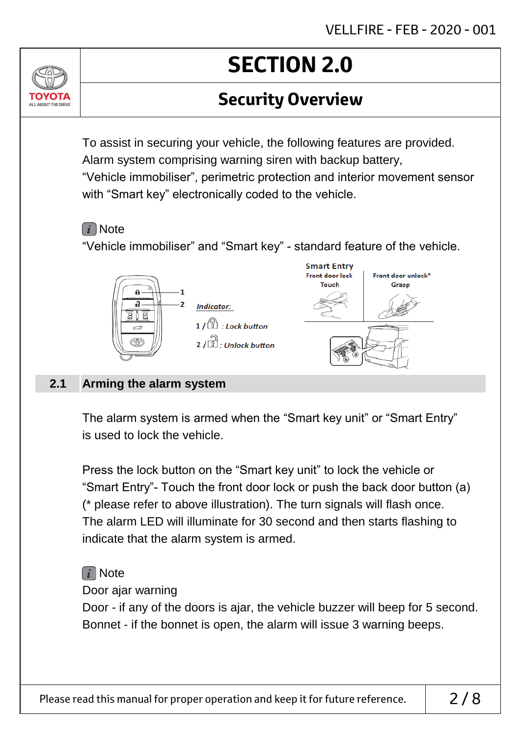## **Security Overview**

To assist in securing your vehicle, the following features are provided. Alarm system comprising warning siren with backup battery, "Vehicle immobiliser", perimetric protection and interior movement sensor with "Smart key" electronically coded to the vehicle.

### $(i)$  Note

ALL ABOUT THE DRIVE

"Vehicle immobiliser" and "Smart key" - standard feature of the vehicle.



#### **Arming the alarm system 2.1**

The alarm system is armed when the "Smart key unit" or "Smart Entry" is used to lock the vehicle.

Press the lock button on the "Smart key unit" to lock the vehicle or "Smart Entry"- Touch the front door lock or push the back door button (a) (\* please refer to above illustration). The turn signals will flash once. The alarm LED will illuminate for 30 second and then starts flashing to indicate that the alarm system is armed.

## $\lceil i \rceil$  Note

Door ajar warning

Door - if any of the doors is ajar, the vehicle buzzer will beep for 5 second. Bonnet - if the bonnet is open, the alarm will issue 3 warning beeps.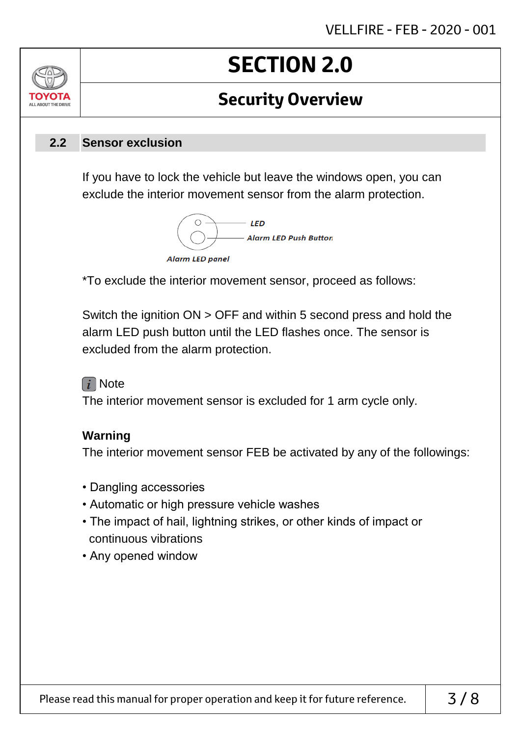## **Security Overview**

#### **Sensor exclusion 2.2**

ALL AROUT THE DRIV

If you have to lock the vehicle but leave the windows open, you can exclude the interior movement sensor from the alarm protection.



\*To exclude the interior movement sensor, proceed as follows:

Switch the ignition ON > OFF and within 5 second press and hold the alarm LED push button until the LED flashes once. The sensor is excluded from the alarm protection.

### $\lceil i \rceil$  Note

The interior movement sensor is excluded for 1 arm cycle only.

### **Warning**

The interior movement sensor FEB be activated by any of the followings:

- Dangling accessories
- Automatic or high pressure vehicle washes
- The impact of hail, lightning strikes, or other kinds of impact or continuous vibrations
- Any opened window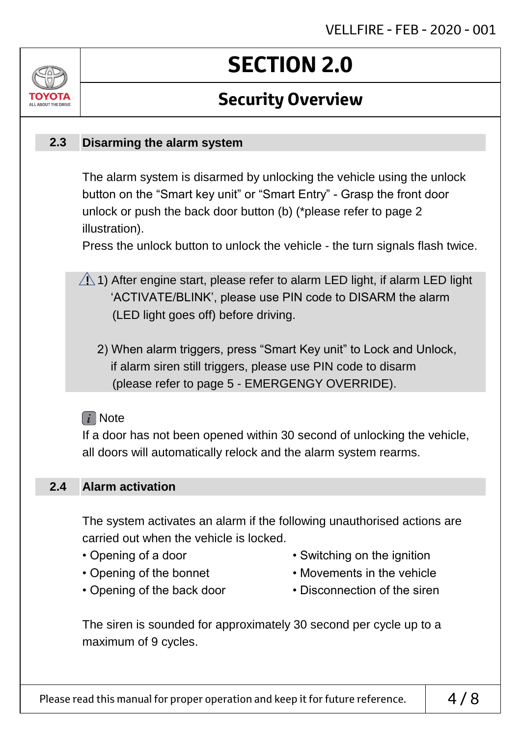## **Security Overview**

#### **Disarming the alarm system 2.3**

ALL AROUT THE DRIV

The alarm system is disarmed by unlocking the vehicle using the unlock button on the "Smart key unit" or "Smart Entry" - Grasp the front door unlock or push the back door button (b) (\*please refer to page 2 illustration).

Press the unlock button to unlock the vehicle - the turn signals flash twice.

- $\sqrt{N}$  1) After engine start, please refer to alarm LED light, if alarm LED light 'ACTIVATE/BLINK', please use PIN code to DISARM the alarm (LED light goes off) before driving.
	- 2) When alarm triggers, press "Smart Key unit" to Lock and Unlock, if alarm siren still triggers, please use PIN code to disarm (please refer to page 5 - EMERGENGY OVERRIDE).

### $\lceil i \rceil$  Note

If a door has not been opened within 30 second of unlocking the vehicle, all doors will automatically relock and the alarm system rearms.

#### **Alarm activation 2.4**

The system activates an alarm if the following unauthorised actions are carried out when the vehicle is locked.

- 
- 
- Opening of a door Switching on the ignition
- Opening of the bonnet Movements in the vehicle
- 
- Opening of the back door Disconnection of the siren

The siren is sounded for approximately 30 second per cycle up to a maximum of 9 cycles.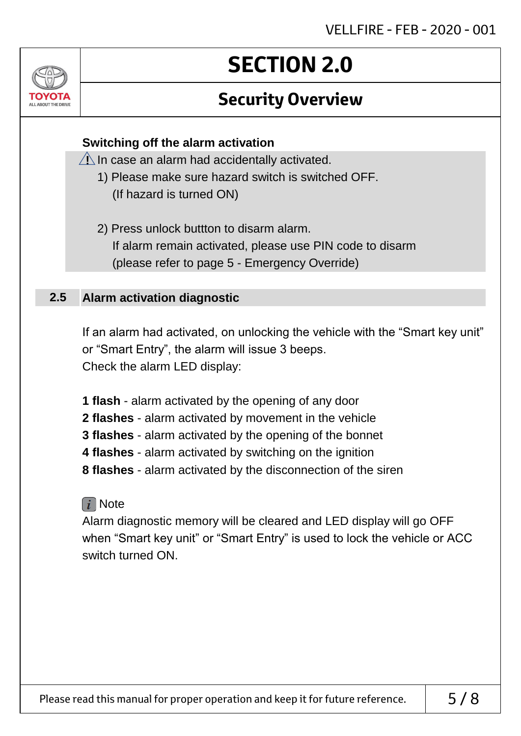## **Security Overview**

### **Switching off the alarm activation**

 $\sqrt{1}$  In case an alarm had accidentally activated.

- 1) Please make sure hazard switch is switched OFF. (If hazard is turned ON)
- 2) Press unlock buttton to disarm alarm. If alarm remain activated, please use PIN code to disarm (please refer to page 5 - Emergency Override)

#### **Alarm activation diagnostic 2.5**

**ALL AROUT THE DRIV** 

If an alarm had activated, on unlocking the vehicle with the "Smart key unit" or "Smart Entry", the alarm will issue 3 beeps. Check the alarm LED display:

**1 flash** - alarm activated by the opening of any door

- **2 flashes** alarm activated by movement in the vehicle
- **3 flashes** alarm activated by the opening of the bonnet
- **4 flashes** alarm activated by switching on the ignition
- **8 flashes** alarm activated by the disconnection of the siren

### $\lceil i \rceil$  Note

Alarm diagnostic memory will be cleared and LED display will go OFF when "Smart key unit" or "Smart Entry" is used to lock the vehicle or ACC switch turned ON.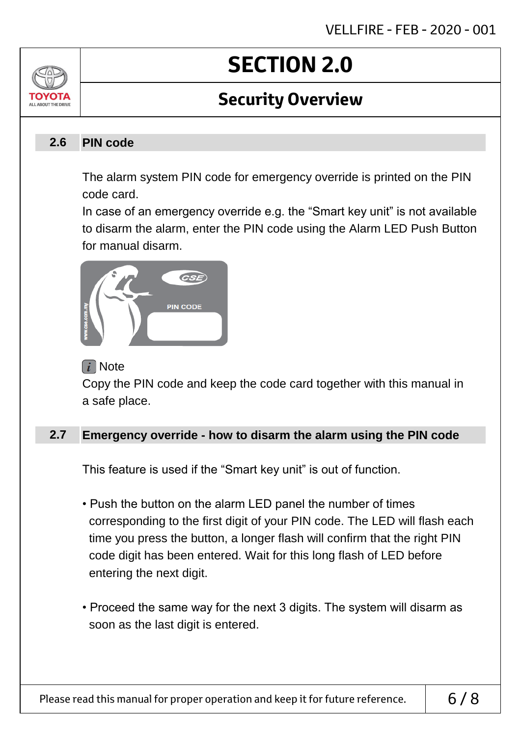## **Security Overview**

#### **PIN code 2.6**

ALL AROUT THE DRIV

The alarm system PIN code for emergency override is printed on the PIN code card.

In case of an emergency override e.g. the "Smart key unit" is not available to disarm the alarm, enter the PIN code using the Alarm LED Push Button for manual disarm.



### $\lceil i \rceil$  Note

Copy the PIN code and keep the code card together with this manual in a safe place.

#### **Emergency override - how to disarm the alarm using the PIN code 2.7**

This feature is used if the "Smart key unit" is out of function.

- Push the button on the alarm LED panel the number of times corresponding to the first digit of your PIN code. The LED will flash each time you press the button, a longer flash will confirm that the right PIN code digit has been entered. Wait for this long flash of LED before entering the next digit.
- Proceed the same way for the next 3 digits. The system will disarm as soon as the last digit is entered.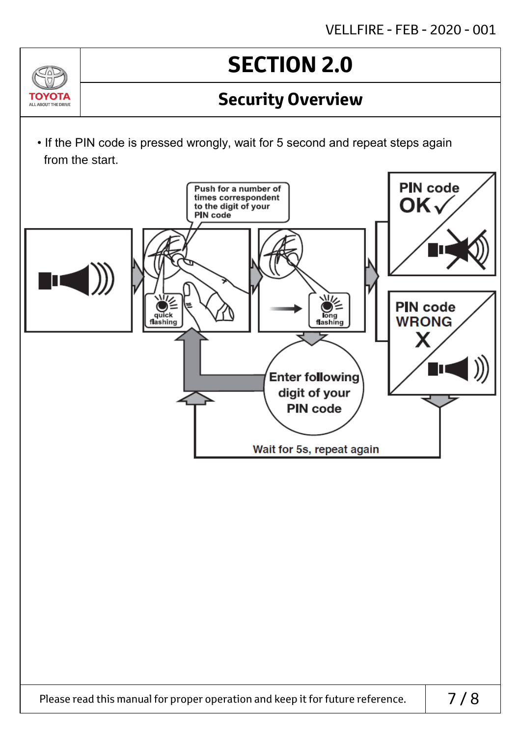## **Security Overview**

• If the PIN code is pressed wrongly, wait for 5 second and repeat steps again from the start.

 $\Delta v$ 

ΤΟΥΩΤΑ ALL ABOUT THE DRIVE